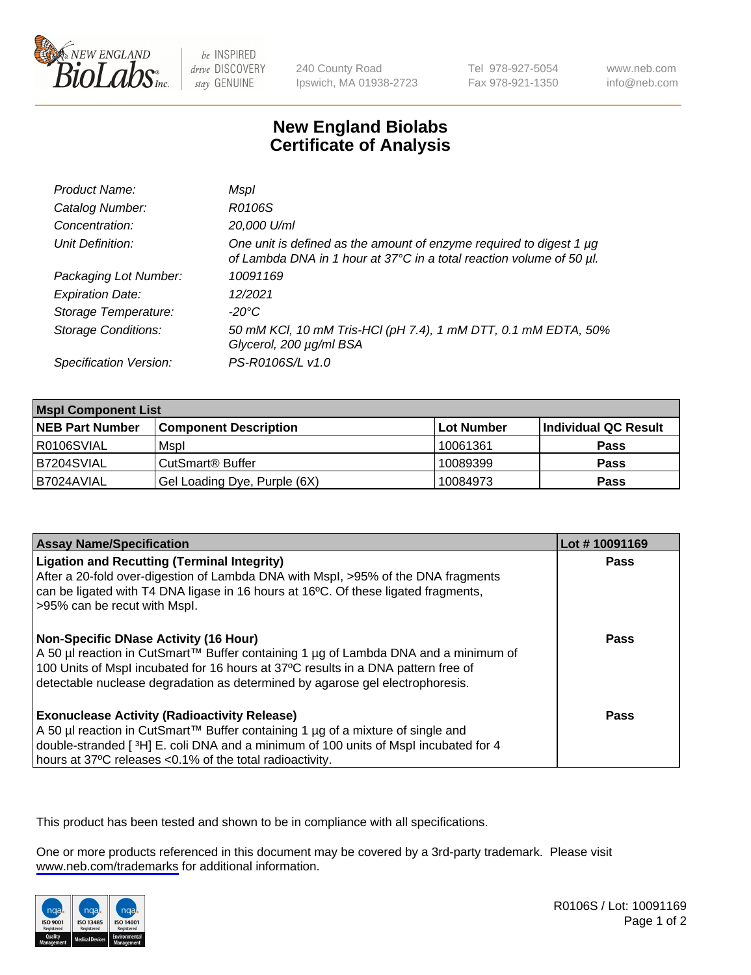

be INSPIRED drive DISCOVERY stay GENUINE

240 County Road Ipswich, MA 01938-2723 Tel 978-927-5054 Fax 978-921-1350

www.neb.com info@neb.com

## **New England Biolabs Certificate of Analysis**

| Product Name:              | Mspl                                                                                                                                        |
|----------------------------|---------------------------------------------------------------------------------------------------------------------------------------------|
| Catalog Number:            | R0106S                                                                                                                                      |
| Concentration:             | 20,000 U/ml                                                                                                                                 |
| Unit Definition:           | One unit is defined as the amount of enzyme required to digest 1 µg<br>of Lambda DNA in 1 hour at 37°C in a total reaction volume of 50 µl. |
| Packaging Lot Number:      | 10091169                                                                                                                                    |
| <b>Expiration Date:</b>    | 12/2021                                                                                                                                     |
| Storage Temperature:       | $-20^{\circ}$ C                                                                                                                             |
| <b>Storage Conditions:</b> | 50 mM KCl, 10 mM Tris-HCl (pH 7.4), 1 mM DTT, 0.1 mM EDTA, 50%<br>Glycerol, 200 µg/ml BSA                                                   |
| Specification Version:     | PS-R0106S/L v1.0                                                                                                                            |

| <b>Mspl Component List</b> |                              |                   |                      |  |
|----------------------------|------------------------------|-------------------|----------------------|--|
| <b>NEB Part Number</b>     | <b>Component Description</b> | <b>Lot Number</b> | Individual QC Result |  |
| R0106SVIAL                 | Mspl                         | 10061361          | <b>Pass</b>          |  |
| B7204SVIAL                 | CutSmart <sup>®</sup> Buffer | 10089399          | <b>Pass</b>          |  |
| IB7024AVIAL                | Gel Loading Dye, Purple (6X) | 10084973          | <b>Pass</b>          |  |

| <b>Assay Name/Specification</b>                                                                                                                                                                                                                                                                             | Lot #10091169 |
|-------------------------------------------------------------------------------------------------------------------------------------------------------------------------------------------------------------------------------------------------------------------------------------------------------------|---------------|
| <b>Ligation and Recutting (Terminal Integrity)</b><br>After a 20-fold over-digestion of Lambda DNA with Mspl, >95% of the DNA fragments<br>can be ligated with T4 DNA ligase in 16 hours at 16 $\degree$ C. Of these ligated fragments,<br>-95% can be recut with Mspl.                                     | Pass          |
| <b>Non-Specific DNase Activity (16 Hour)</b><br>  A 50 µl reaction in CutSmart™ Buffer containing 1 µg of Lambda DNA and a minimum of<br>100 Units of Mspl incubated for 16 hours at 37°C results in a DNA pattern free of<br>detectable nuclease degradation as determined by agarose gel electrophoresis. | Pass          |
| <b>Exonuclease Activity (Radioactivity Release)</b><br>  A 50 µl reaction in CutSmart™ Buffer containing 1 µg of a mixture of single and<br>double-stranded [3H] E. coli DNA and a minimum of 100 units of Mspl incubated for 4<br>hours at 37°C releases <0.1% of the total radioactivity.                 | Pass          |

This product has been tested and shown to be in compliance with all specifications.

One or more products referenced in this document may be covered by a 3rd-party trademark. Please visit <www.neb.com/trademarks>for additional information.